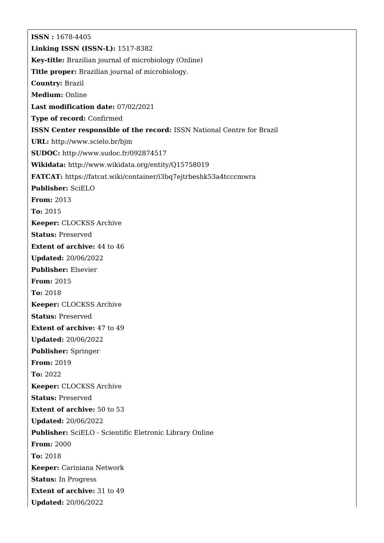**ISSN :** 1678-4405 **Linking ISSN (ISSN-L):** 1517-8382 **Key-title:** Brazilian journal of microbiology (Online) **Title proper:** Brazilian journal of microbiology. **Country:** Brazil **Medium:** Online **Last modification date:** 07/02/2021 **Type of record:** Confirmed **ISSN Center responsible of the record:** ISSN National Centre for Brazil **URL:** <http://www.scielo.br/bjm> **SUDOC:** <http://www.sudoc.fr/092874517> **Wikidata:** <http://www.wikidata.org/entity/Q15758019> **FATCAT:** <https://fatcat.wiki/container/i3bq7ejtrbeshk53a4tcccmwra> **Publisher:** SciELO **From:** 2013 **To:** 2015 **Keeper:** CLOCKSS Archive **Status:** Preserved **Extent of archive:** 44 to 46 **Updated:** 20/06/2022 **Publisher:** Elsevier **From:** 2015 **To:** 2018 **Keeper:** CLOCKSS Archive **Status:** Preserved **Extent of archive:** 47 to 49 **Updated:** 20/06/2022 **Publisher:** Springer **From:** 2019 **To:** 2022 **Keeper:** CLOCKSS Archive **Status:** Preserved **Extent of archive:** 50 to 53 **Updated:** 20/06/2022 **Publisher:** SciELO - Scientific Eletronic Library Online **From:** 2000 **To:** 2018 **Keeper:** Cariniana Network **Status:** In Progress **Extent of archive:** 31 to 49 **Updated:** 20/06/2022